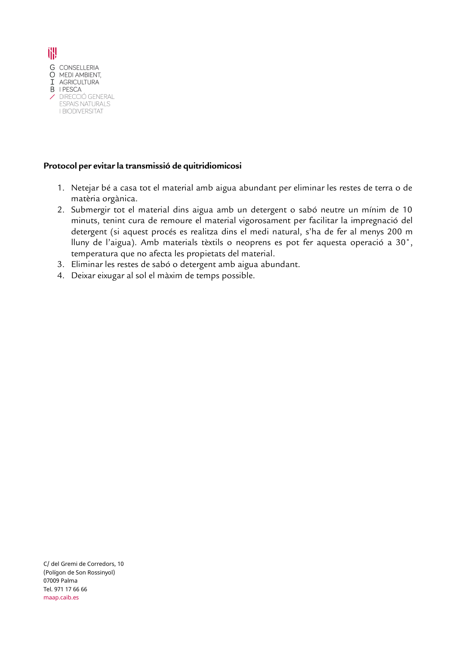

## Protocol per evitar la transmissió de quitridiomicosi

- 1. Netejar bé a casa tot el material amb aigua abundant per eliminar les restes de terra o de matèria orgànica.
- 2. Submergir tot el material dins aigua amb un detergent o sabó neutre un mínim de 10 minuts, tenint cura de remoure el material vigorosament per facilitar la impregnació del detergent (si aquest procés es realitza dins el medi natural, s'ha de fer al menys 200 m lluny de l'aigua). Amb materials tèxtils o neoprens es pot fer aquesta operació a 30˚, temperatura que no afecta les propietats del material.
- 3. Eliminar les restes de sabó o detergent amb aigua abundant.
- 4. Deixar eixugar al sol el màxim de temps possible.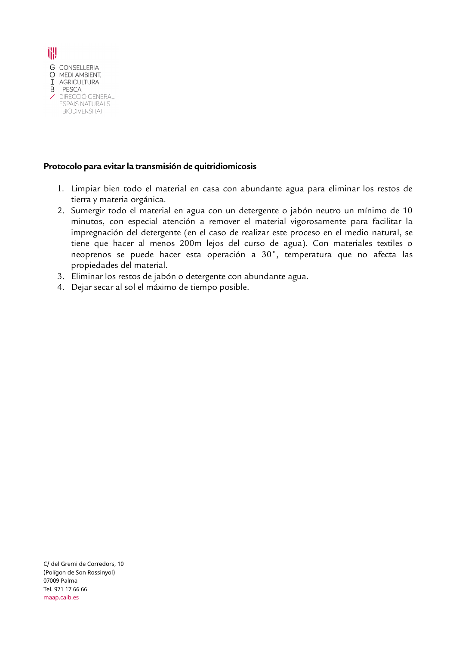

## Protocolo para evitar la transmisión de quitridiomicosis

- 1. Limpiar bien todo el material en casa con abundante agua para eliminar los restos de tierra y materia orgánica.
- 2. Sumergir todo el material en agua con un detergente o jabón neutro un mínimo de 10 minutos, con especial atención a remover el material vigorosamente para facilitar la impregnación del detergente (en el caso de realizar este proceso en el medio natural, se tiene que hacer al menos 200m lejos del curso de agua). Con materiales textiles o neoprenos se puede hacer esta operación a 30˚, temperatura que no afecta las propiedades del material.
- 3. Eliminar los restos de jabón o detergente con abundante agua.
- 4. Dejar secar al sol el máximo de tiempo posible.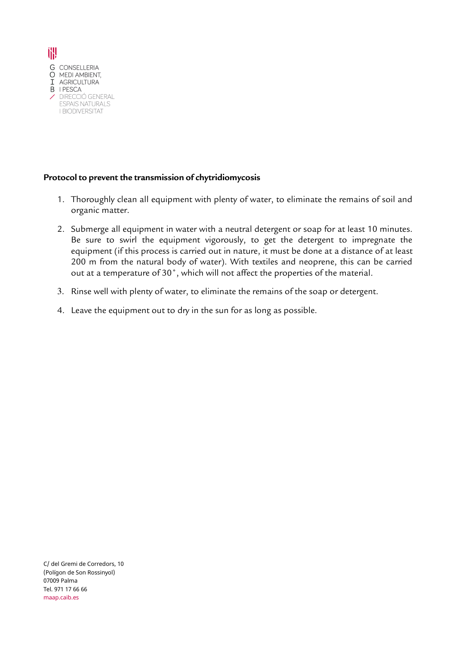

## Protocol to prevent the transmission of chytridiomycosis

- 1. Thoroughly clean all equipment with plenty of water, to eliminate the remains of soil and organic matter.
- 2. Submerge all equipment in water with a neutral detergent or soap for at least 10 minutes. Be sure to swirl the equipment vigorously, to get the detergent to impregnate the equipment (if this process is carried out in nature, it must be done at a distance of at least 200 m from the natural body of water). With textiles and neoprene, this can be carried out at a temperature of 30˚, which will not affect the properties of the material.
- 3. Rinse well with plenty of water, to eliminate the remains of the soap or detergent.
- 4. Leave the equipment out to dry in the sun for as long as possible.